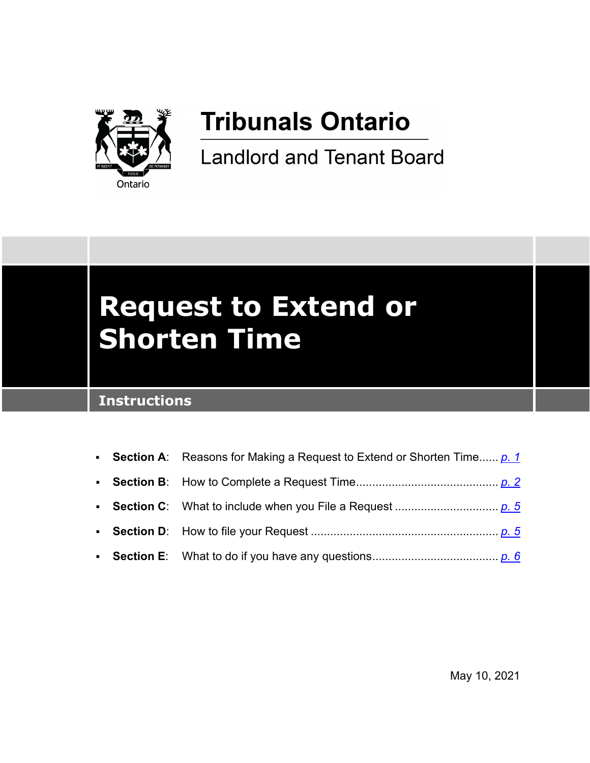

## **Tribunals Ontario**

**Landlord and Tenant Board** 

# **Request to Extend or Shorten Time**

## **Instructions**

|  | • Section A: Reasons for Making a Request to Extend or Shorten Time p. 1 |
|--|--------------------------------------------------------------------------|
|  |                                                                          |
|  |                                                                          |
|  |                                                                          |
|  |                                                                          |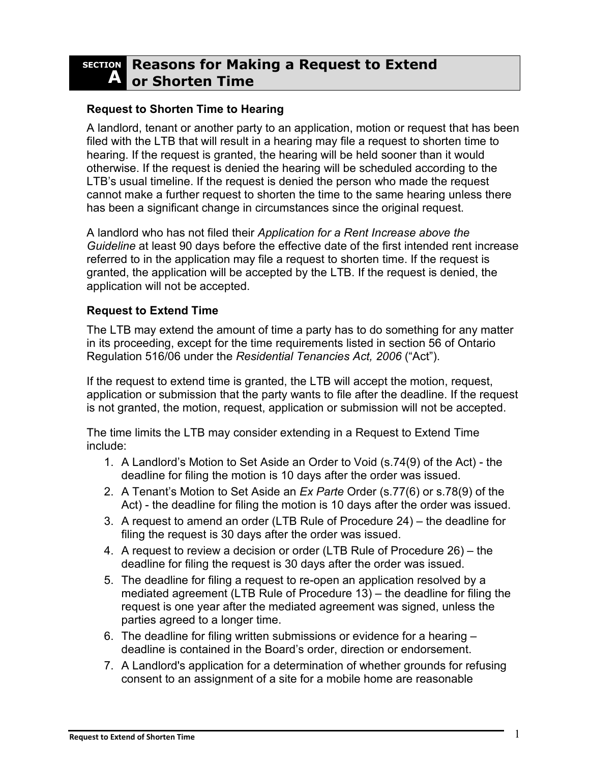#### <span id="page-1-0"></span>**SECTION A Reasons for Making a Request to Extend or Shorten Time**

#### **Request to Shorten Time to Hearing**

A landlord, tenant or another party to an application, motion or request that has been filed with the LTB that will result in a hearing may file a request to shorten time to hearing. If the request is granted, the hearing will be held sooner than it would otherwise. If the request is denied the hearing will be scheduled according to the LTB's usual timeline. If the request is denied the person who made the request cannot make a further request to shorten the time to the same hearing unless there has been a significant change in circumstances since the original request.

A landlord who has not filed their *Application for a Rent Increase above the Guideline* at least 90 days before the effective date of the first intended rent increase referred to in the application may file a request to shorten time. If the request is granted, the application will be accepted by the LTB. If the request is denied, the application will not be accepted.

#### **Request to Extend Time**

The LTB may extend the amount of time a party has to do something for any matter in its proceeding, except for the time requirements listed in section 56 of Ontario Regulation 516/06 under the *Residential Tenancies Act, 2006* ("Act").

If the request to extend time is granted, the LTB will accept the motion, request, application or submission that the party wants to file after the deadline. If the request is not granted, the motion, request, application or submission will not be accepted.

The time limits the LTB may consider extending in a Request to Extend Time include:

- 1. A Landlord's Motion to Set Aside an Order to Void (s.74(9) of the Act) the deadline for filing the motion is 10 days after the order was issued.
- 2. A Tenant's Motion to Set Aside an *Ex Parte* Order (s.77(6) or s.78(9) of the Act) - the deadline for filing the motion is 10 days after the order was issued.
- 3. A request to amend an order (LTB Rule of Procedure 24) the deadline for filing the request is 30 days after the order was issued.
- 4. A request to review a decision or order (LTB Rule of Procedure 26) the deadline for filing the request is 30 days after the order was issued.
- 5. The deadline for filing a request to re-open an application resolved by a mediated agreement (LTB Rule of Procedure 13) – the deadline for filing the request is one year after the mediated agreement was signed, unless the parties agreed to a longer time.
- 6. The deadline for filing written submissions or evidence for a hearing deadline is contained in the Board's order, direction or endorsement.
- 7. A Landlord's application for a determination of whether grounds for refusing consent to an assignment of a site for a mobile home are reasonable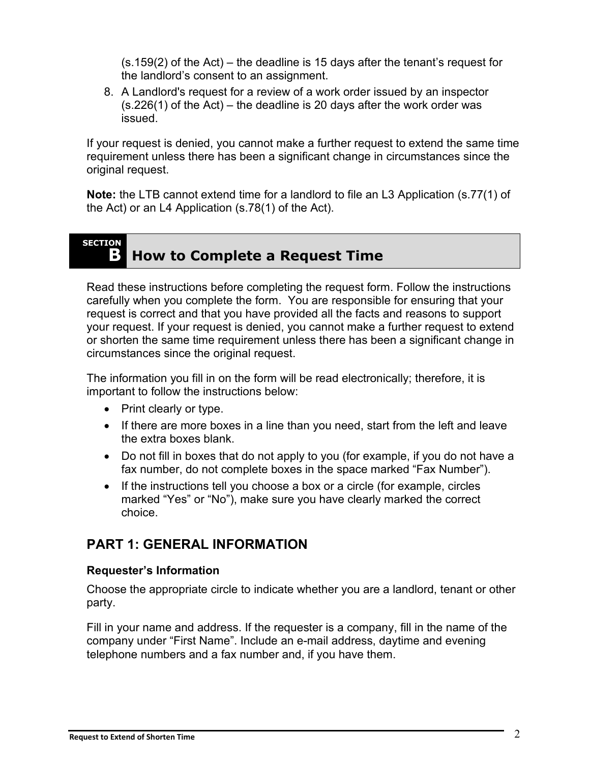(s.159(2) of the Act) – the deadline is 15 days after the tenant's request for the landlord's consent to an assignment.

8. A Landlord's request for a review of a work order issued by an inspector (s.226(1) of the Act) – the deadline is 20 days after the work order was issued.

If your request is denied, you cannot make a further request to extend the same time requirement unless there has been a significant change in circumstances since the original request.

**Note:** the LTB cannot extend time for a landlord to file an L3 Application (s.77(1) of the Act) or an L4 Application (s.78(1) of the Act).

#### <span id="page-2-0"></span>**SECTION B** How to Complete a Request Time

Read these instructions before completing the request form. Follow the instructions carefully when you complete the form. You are responsible for ensuring that your request is correct and that you have provided all the facts and reasons to support your request. If your request is denied, you cannot make a further request to extend or shorten the same time requirement unless there has been a significant change in circumstances since the original request.

The information you fill in on the form will be read electronically; therefore, it is important to follow the instructions below:

- Print clearly or type.
- If there are more boxes in a line than you need, start from the left and leave the extra boxes blank.
- Do not fill in boxes that do not apply to you (for example, if you do not have a fax number, do not complete boxes in the space marked "Fax Number").
- If the instructions tell you choose a box or a circle (for example, circles marked "Yes" or "No"), make sure you have clearly marked the correct choice.

#### **PART 1: GENERAL INFORMATION**

#### **Requester's Information**

Choose the appropriate circle to indicate whether you are a landlord, tenant or other party.

Fill in your name and address. If the requester is a company, fill in the name of the company under "First Name". Include an e-mail address, daytime and evening telephone numbers and a fax number and, if you have them.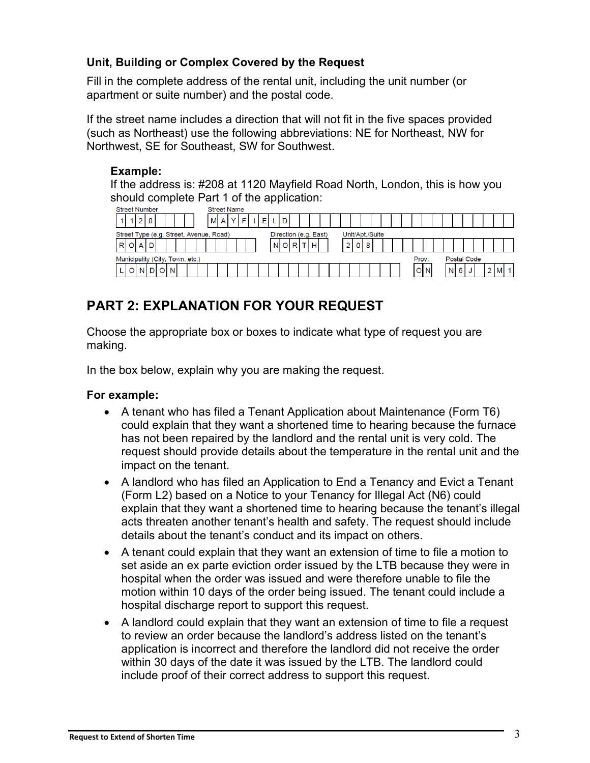#### **Unit, Building or Complex Covered by the Request**

Fill in the complete address of the rental unit, including the unit number (or apartment or suite number) and the postal code.

If the street name includes a direction that will not fit in the five spaces provided (such as Northeast) use the following abbreviations: NE for Northeast, NW for Northwest, SE for Southeast, SW for Southwest.

#### **Example:**

If the address is: #208 at 1120 Mayfield Road North, London, this is how you should complete Part 1 of the application:<br>
Street Number<br>
Street Name



## **PART 2: EXPLANATION FOR YOUR REQUEST**

Choose the appropriate box or boxes to indicate what type of request you are making.

In the box below, explain why you are making the request.

#### **For example:**

- A tenant who has filed a Tenant Application about Maintenance (Form T6) could explain that they want a shortened time to hearing because the furnace has not been repaired by the landlord and the rental unit is very cold. The request should provide details about the temperature in the rental unit and the impact on the tenant.
- A landlord who has filed an Application to End a Tenancy and Evict a Tenant (Form L2) based on a Notice to your Tenancy for Illegal Act (N6) could explain that they want a shortened time to hearing because the tenant's illegal acts threaten another tenant's health and safety. The request should include details about the tenant's conduct and its impact on others.
- A tenant could explain that they want an extension of time to file a motion to set aside an ex parte eviction order issued by the LTB because they were in hospital when the order was issued and were therefore unable to file the motion within 10 days of the order being issued. The tenant could include a hospital discharge report to support this request.
- A landlord could explain that they want an extension of time to file a request to review an order because the landlord's address listed on the tenant's application is incorrect and therefore the landlord did not receive the order within 30 days of the date it was issued by the LTB. The landlord could include proof of their correct address to support this request.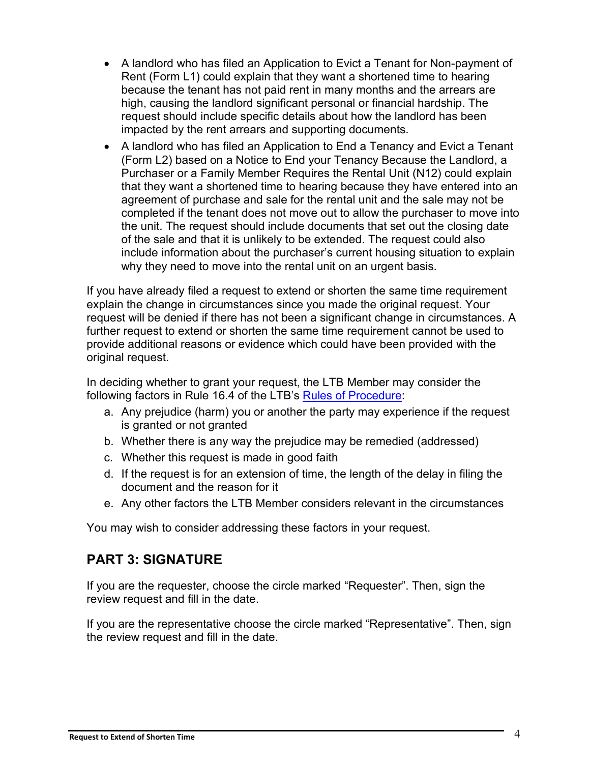- A landlord who has filed an Application to Evict a Tenant for Non-payment of Rent (Form L1) could explain that they want a shortened time to hearing because the tenant has not paid rent in many months and the arrears are high, causing the landlord significant personal or financial hardship. The request should include specific details about how the landlord has been impacted by the rent arrears and supporting documents.
- A landlord who has filed an Application to End a Tenancy and Evict a Tenant (Form L2) based on a Notice to End your Tenancy Because the Landlord, a Purchaser or a Family Member Requires the Rental Unit (N12) could explain that they want a shortened time to hearing because they have entered into an agreement of purchase and sale for the rental unit and the sale may not be completed if the tenant does not move out to allow the purchaser to move into the unit. The request should include documents that set out the closing date of the sale and that it is unlikely to be extended. The request could also include information about the purchaser's current housing situation to explain why they need to move into the rental unit on an urgent basis.

If you have already filed a request to extend or shorten the same time requirement explain the change in circumstances since you made the original request. Your request will be denied if there has not been a significant change in circumstances. A further request to extend or shorten the same time requirement cannot be used to provide additional reasons or evidence which could have been provided with the original request.

In deciding whether to grant your request, the LTB Member may consider the following factors in Rule 16.4 of the LTB's [Rules of Procedure:](https://tribunalsontario.ca/ltb/rules-practice-directions-guidelines/)

- a. Any prejudice (harm) you or another the party may experience if the request is granted or not granted
- b. Whether there is any way the prejudice may be remedied (addressed)
- c. Whether this request is made in good faith
- d. If the request is for an extension of time, the length of the delay in filing the document and the reason for it
- e. Any other factors the LTB Member considers relevant in the circumstances

You may wish to consider addressing these factors in your request.

### **PART 3: SIGNATURE**

If you are the requester, choose the circle marked "Requester". Then, sign the review request and fill in the date.

If you are the representative choose the circle marked "Representative". Then, sign the review request and fill in the date.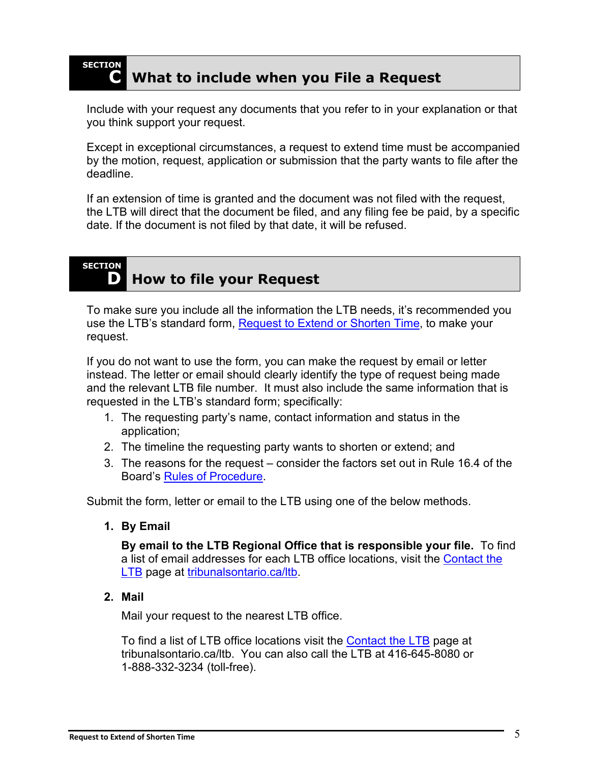#### <span id="page-5-0"></span>**SECTION C What to include when you File a Request**

Include with your request any documents that you refer to in your explanation or that you think support your request.

Except in exceptional circumstances, a request to extend time must be accompanied by the motion, request, application or submission that the party wants to file after the deadline.

If an extension of time is granted and the document was not filed with the request, the LTB will direct that the document be filed, and any filing fee be paid, by a specific date. If the document is not filed by that date, it will be refused.

**SECTION**

## <span id="page-5-1"></span>**D How to file your Request**

To make sure you include all the information the LTB needs, it's recommended you use the LTB's standard form, [Request to Extend or Shorten Time,](https://tribunalsontario.ca/ltb/forms/) to make your request.

If you do not want to use the form, you can make the request by email or letter instead. The letter or email should clearly identify the type of request being made and the relevant LTB file number. It must also include the same information that is requested in the LTB's standard form; specifically:

- 1. The requesting party's name, contact information and status in the application;
- 2. The timeline the requesting party wants to shorten or extend; and
- 3. The reasons for the request consider the factors set out in Rule 16.4 of the Board's [Rules of Procedure.](https://tribunalsontario.ca/ltb/rules-practice-directions-guidelines/)

Submit the form, letter or email to the LTB using one of the below methods.

**1. By Email**

**By email to the LTB Regional Office that is responsible your file.** To find a list of email addresses for each LTB office locations, visit the [Contact the](https://tribunalsontario.ca/ltb/contact/)  [LTB](https://tribunalsontario.ca/ltb/contact/) page at [tribunalsontario.ca/ltb.](https://tribunalsontario.ca/ltb/)

**2. Mail**

Mail your request to the nearest LTB office.

To find a list of LTB office locations visit the [Contact the LTB](https://tribunalsontario.ca/ltb/contact/) page at tribunalsontario.ca/ltb. You can also call the LTB at 416-645-8080 or 1-888-332-3234 (toll-free).